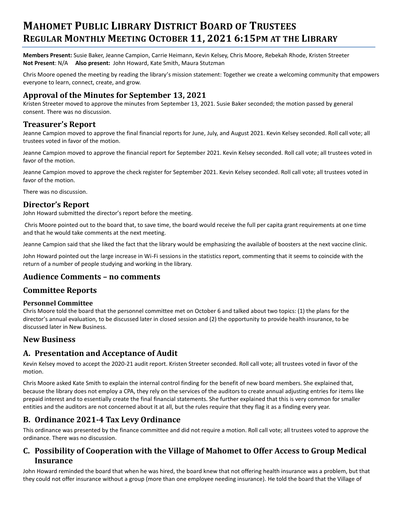# **MAHOMET PUBLIC LIBRARY DISTRICT BOARD OF TRUSTEES REGULAR MONTHLY MEETING OCTOBER 11, 2021 6:15PM AT THE LIBRARY**

**Members Present:** Susie Baker, Jeanne Campion, Carrie Heimann, Kevin Kelsey, Chris Moore, Rebekah Rhode, Kristen Streeter **Not Present**: N/A **Also present:** John Howard, Kate Smith, Maura Stutzman

Chris Moore opened the meeting by reading the library's mission statement: Together we create a welcoming community that empowers everyone to learn, connect, create, and grow.

#### **Approval of the Minutes for September 13, 2021**

Kristen Streeter moved to approve the minutes from September 13, 2021. Susie Baker seconded; the motion passed by general consent. There was no discussion.

#### **Treasurer's Report**

Jeanne Campion moved to approve the final financial reports for June, July, and August 2021. Kevin Kelsey seconded. Roll call vote; all trustees voted in favor of the motion.

Jeanne Campion moved to approve the financial report for September 2021. Kevin Kelsey seconded. Roll call vote; all trustees voted in favor of the motion.

Jeanne Campion moved to approve the check register for September 2021. Kevin Kelsey seconded. Roll call vote; all trustees voted in favor of the motion.

There was no discussion.

#### **Director's Report**

John Howard submitted the director's report before the meeting.

Chris Moore pointed out to the board that, to save time, the board would receive the full per capita grant requirements at one time and that he would take comments at the next meeting.

Jeanne Campion said that she liked the fact that the library would be emphasizing the available of boosters at the next vaccine clinic.

John Howard pointed out the large increase in Wi-Fi sessions in the statistics report, commenting that it seems to coincide with the return of a number of people studying and working in the library.

#### **Audience Comments – no comments**

## **Committee Reports**

#### **Personnel Committee**

Chris Moore told the board that the personnel committee met on October 6 and talked about two topics: (1) the plans for the director's annual evaluation, to be discussed later in closed session and (2) the opportunity to provide health insurance, to be discussed later in New Business.

#### **New Business**

## **A. Presentation and Acceptance of Audit**

Kevin Kelsey moved to accept the 2020-21 audit report. Kristen Streeter seconded. Roll call vote; all trustees voted in favor of the motion.

Chris Moore asked Kate Smith to explain the internal control finding for the benefit of new board members. She explained that, because the library does not employ a CPA, they rely on the services of the auditors to create annual adjusting entries for items like prepaid interest and to essentially create the final financial statements. She further explained that this is very common for smaller entities and the auditors are not concerned about it at all, but the rules require that they flag it as a finding every year.

## **B. Ordinance 2021-4 Tax Levy Ordinance**

This ordinance was presented by the finance committee and did not require a motion. Roll call vote; all trustees voted to approve the ordinance. There was no discussion.

## **C. Possibility of Cooperation with the Village of Mahomet to Offer Access to Group Medical Insurance**

John Howard reminded the board that when he was hired, the board knew that not offering health insurance was a problem, but that they could not offer insurance without a group (more than one employee needing insurance). He told the board that the Village of